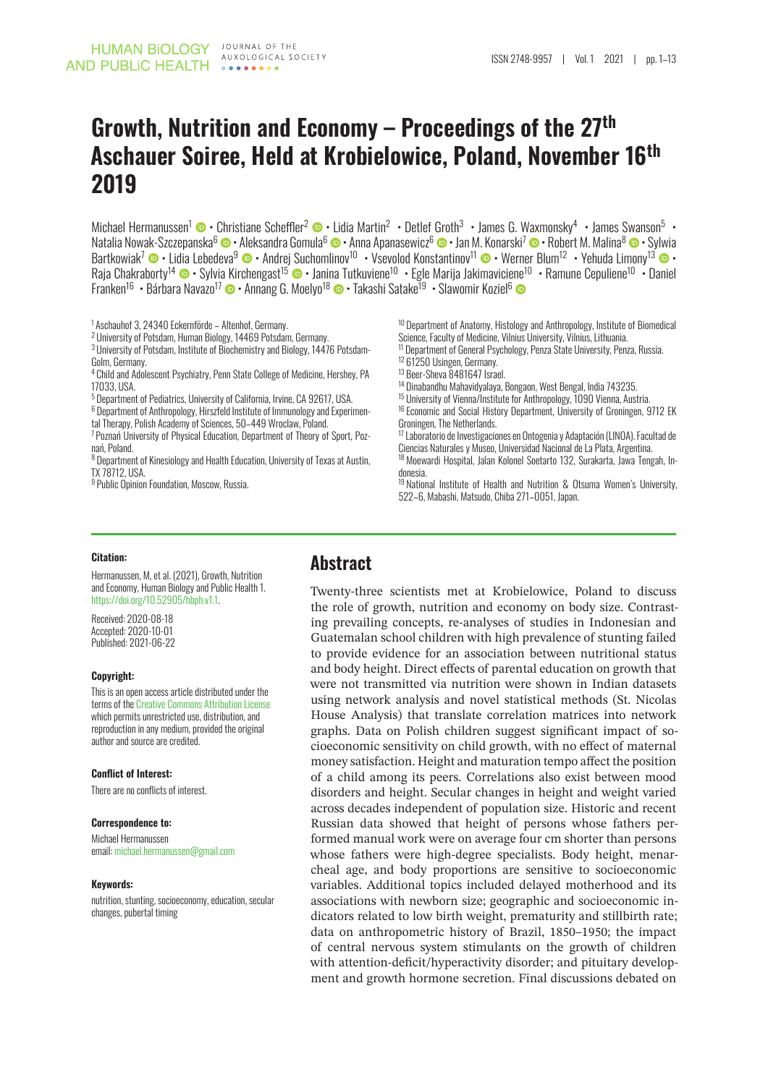# **Growth, Nutrition and Economy – Proceedings of the 27th Aschauer Soiree, Held at Krobielowice, Poland, November 16th 2019**

Michael Hermanussen<sup>1</sup> © • Christiane Scheffler<sup>2</sup> © • Lidia Martin<sup>2</sup> • Detlef Groth<sup>3</sup> • James G. Waxmonsky<sup>4</sup> • James Swanson<sup>5</sup> • Natalia Nowak-Szczepanska<sup>[6](http://orcid.org/0000-0003-1954-7578)</sup> © • Aleksandra Gomula<sup>6</sup> © • Anna Apanasewicz<sup>6</sup> © • Jan M. Konarski<sup>7</sup> © • Robert M. Malina<sup>8</sup> © • Sylwia Bartkowiak<sup>7</sup> © • Lidia Lebedeva<sup>9</sup> © • Andrej Suchomlinov<sup>10</sup> • Vsevolod Konstantinov<sup>11</sup> © • Werner Blum<sup>12</sup> • Yehuda Limony<sup>13</sup> © • Raja Chakraborty<sup>14</sup> • Sylvia Kirchengast<sup>15</sup> • Janina Tutkuviene<sup>10</sup> • Egle Marija Jakimaviciene<sup>10</sup> • Ramune Cepuliene<sup>10</sup> • Daniel Franken<sup>16</sup> • Bárbara Navazo<sup>17</sup> © • Annang G. Moelyo<sup>18</sup> © • Takashi Satake<sup>19</sup> • Slawomir Koziel<sup>6</sup>

1 Aschauhof 3, 24340 Eckernförde – Altenhof, Germany.

<sup>2</sup> University of Potsdam, Human Biology, 14469 Potsdam, Germany.

<sup>3</sup> University of Potsdam, Institute of Biochemistry and Biology, 14476 Potsdam-Golm, Germany.

<sup>4</sup> Child and Adolescent Psychiatry, Penn State College of Medicine, Hershey, PA 17033, USA.

<sup>5</sup> Department of Pediatrics, University of California, Irvine, CA 92617, USA.

<sup>6</sup> Department of Anthropology, Hirszfeld Institute of Immunology and Experimental Therapy, Polish Academy of Sciences, 50–449 Wroclaw, Poland.

<sup>7</sup> Poznań University of Physical Education, Department of Theory of Sport, Poznań, Poland.

<sup>8</sup> Department of Kinesiology and Health Education, University of Texas at Austin, TX 78712, USA.

<sup>9</sup> Public Opinion Foundation, Moscow, Russia.

<sup>10</sup> Department of Anatomy, Histology and Anthropology, Institute of Biomedical Science, Faculty of Medicine, Vilnius University, Vilnius, Lithuania.

<sup>11</sup> Department of General Psychology, Penza State University, Penza, Russia.

<sup>12</sup> 61250 Usingen, Germany.

- <sup>13</sup> Beer-Sheva 8481647 Israel.
- <sup>14</sup> Dinabandhu Mahavidyalaya, Bongaon, West Bengal, India 743235.
- <sup>15</sup> University of Vienna/Institute for Anthropology, 1090 Vienna, Austria.
- <sup>16</sup> Economic and Social History Department, University of Groningen, 9712 EK Groningen, The Netherlands.

<sup>17</sup> Laboratorio de Investigaciones en Ontogenia y Adaptación (LINOA). Facultad de Ciencias Naturales y Museo, Universidad Nacional de La Plata, Argentina.

<sup>18</sup> Moewardi Hospital, Jalan Kolonel Soetarto 132, Surakarta, Jawa Tengah, Indonesia.

<sup>19</sup> National Institute of Health and Nutrition & Otsuma Women's University, 522–6, Mabashi, Matsudo, Chiba 271–0051, Japan.

#### **Citation:**

Hermanussen, M, et al. (2021), Growth, Nutrition and Economy, Human Biology and Public Health 1. [https://doi.org/10.52905/hbph.v1.1.](https://doi.org/10.52905/hbph.v1.1)

Received: 2020-08-18 Accepted: 2020-10-01 Published: 2021-06-22

#### **Copyright:**

This is an open access article distributed under the terms of the [Creative Commons Attribution License](https://creativecommons.org/licenses/by/4.0) which nermits unrestricted use, distribution, and reproduction in any medium, provided the original author and source are credited.

#### **Conflict of Interest:**

There are no conflicts of interest.

#### **Correspondence to:**

Michael Hermanussen email: [michael.hermanussen@gmail.com](mailto:michael.hermanussen@gmail.com)

#### **Keywords:**

nutrition, stunting, socioeconomy, education, secular changes, pubertal timing

### **Abstract**

Twenty-three scientists met at Krobielowice, Poland to discuss the role of growth, nutrition and economy on body size. Contrasting prevailing concepts, re-analyses of studies in Indonesian and Guatemalan school children with high prevalence of stunting failed to provide evidence for an association between nutritional status and body height. Direct effects of parental education on growth that were not transmitted via nutrition were shown in Indian datasets using network analysis and novel statistical methods (St. Nicolas House Analysis) that translate correlation matrices into network graphs. Data on Polish children suggest significant impact of socioeconomic sensitivity on child growth, with no effect of maternal money satisfaction. Height and maturation tempo affect the position of a child among its peers. Correlations also exist between mood disorders and height. Secular changes in height and weight varied across decades independent of population size. Historic and recent Russian data showed that height of persons whose fathers performed manual work were on average four cm shorter than persons whose fathers were high-degree specialists. Body height, menarcheal age, and body proportions are sensitive to socioeconomic variables. Additional topics included delayed motherhood and its associations with newborn size; geographic and socioeconomic indicators related to low birth weight, prematurity and stillbirth rate; data on anthropometric history of Brazil, 1850–1950; the impact of central nervous system stimulants on the growth of children with attention-deficit/hyperactivity disorder; and pituitary development and growth hormone secretion. Final discussions debated on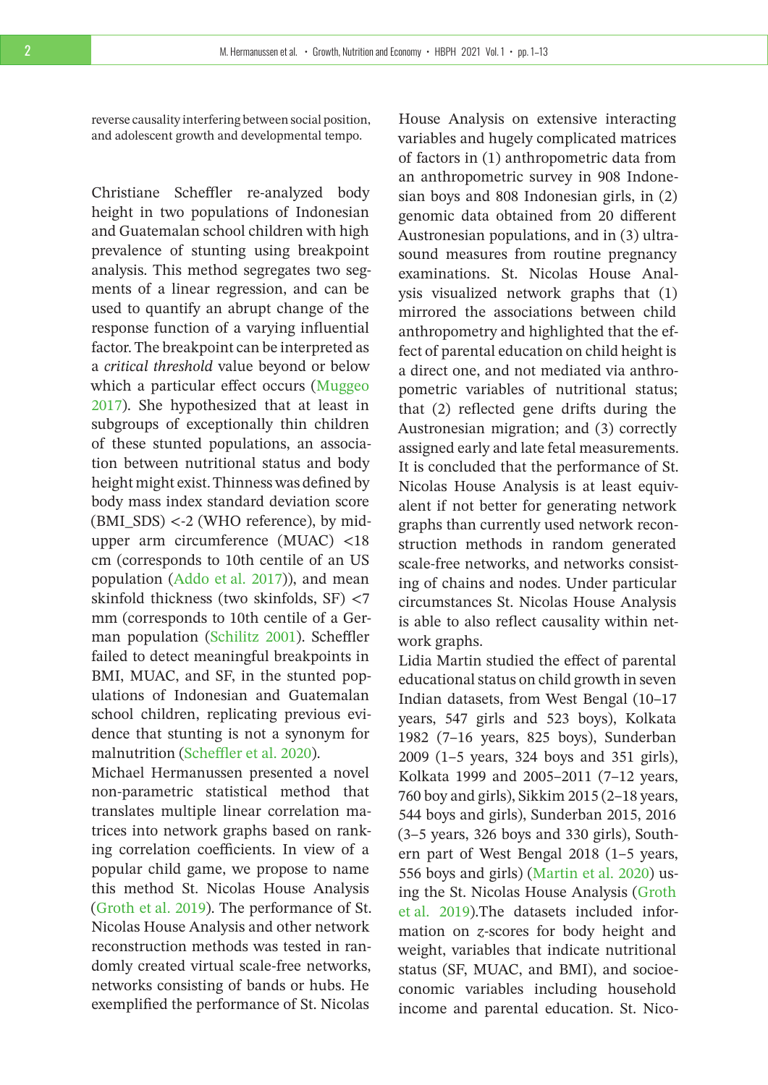reverse causality interfering between social position, and adolescent growth and developmental tempo.

Christiane Scheffler re-analyzed body height in two populations of Indonesian and Guatemalan school children with high prevalence of stunting using breakpoint analysis. This method segregates two segments of a linear regression, and can be used to quantify an abrupt change of the response function of a varying influential factor. The breakpoint can be interpreted as a *critical threshold* value beyond or below which a particular effect occurs [\(Muggeo](#page-11-0) [2017\)](#page-11-0). She hypothesized that at least in subgroups of exceptionally thin children of these stunted populations, an association between nutritional status and body height might exist. Thinness was defined by body mass index standard deviation score (BMI\_SDS) <-2 (WHO reference), by midupper arm circumference (MUAC) <18 cm (corresponds to 10th centile of an US population [\(Addo et al. 2017\)](#page-11-1)), and mean skinfold thickness (two skinfolds, SF) <7 mm (corresponds to 10th centile of a German population [\(Schilitz 2001\)](#page-12-0). Scheffler failed to detect meaningful breakpoints in BMI, MUAC, and SF, in the stunted populations of Indonesian and Guatemalan school children, replicating previous evidence that stunting is not a synonym for malnutrition [\(Scheffler et al. 2020\)](#page-12-1).

Michael Hermanussen presented a novel non-parametric statistical method that translates multiple linear correlation matrices into network graphs based on ranking correlation coefficients. In view of a popular child game, we propose to name this method St. Nicolas House Analysis [\(Groth et al. 2019\)](#page-12-2). The performance of St. Nicolas House Analysis and other network reconstruction methods was tested in randomly created virtual scale-free networks, networks consisting of bands or hubs. He exemplified the performance of St. Nicolas

House Analysis on extensive interacting variables and hugely complicated matrices of factors in (1) anthropometric data from an anthropometric survey in 908 Indonesian boys and 808 Indonesian girls, in (2) genomic data obtained from 20 different Austronesian populations, and in (3) ultrasound measures from routine pregnancy examinations. St. Nicolas House Analysis visualized network graphs that (1) mirrored the associations between child anthropometry and highlighted that the effect of parental education on child height is a direct one, and not mediated via anthropometric variables of nutritional status; that (2) reflected gene drifts during the Austronesian migration; and (3) correctly assigned early and late fetal measurements. It is concluded that the performance of St. Nicolas House Analysis is at least equivalent if not better for generating network graphs than currently used network reconstruction methods in random generated scale-free networks, and networks consisting of chains and nodes. Under particular circumstances St. Nicolas House Analysis is able to also reflect causality within network graphs.

Lidia Martin studied the effect of parental educational status on child growth in seven Indian datasets, from West Bengal (10–17 years, 547 girls and 523 boys), Kolkata 1982 (7–16 years, 825 boys), Sunderban 2009 (1–5 years, 324 boys and 351 girls), Kolkata 1999 and 2005–2011 (7–12 years, 760 boy and girls), Sikkim 2015 (2–18 years, 544 boys and girls), Sunderban 2015, 2016 (3–5 years, 326 boys and 330 girls), Southern part of West Bengal 2018 (1–5 years, 556 boys and girls) [\(Martin et al. 2020\)](#page-12-3) using the St. Nicolas House Analysis [\(Groth](#page-12-2) [et al. 2019\)](#page-12-2).The datasets included information on *z*-scores for body height and weight, variables that indicate nutritional status (SF, MUAC, and BMI), and socioeconomic variables including household income and parental education. St. Nico-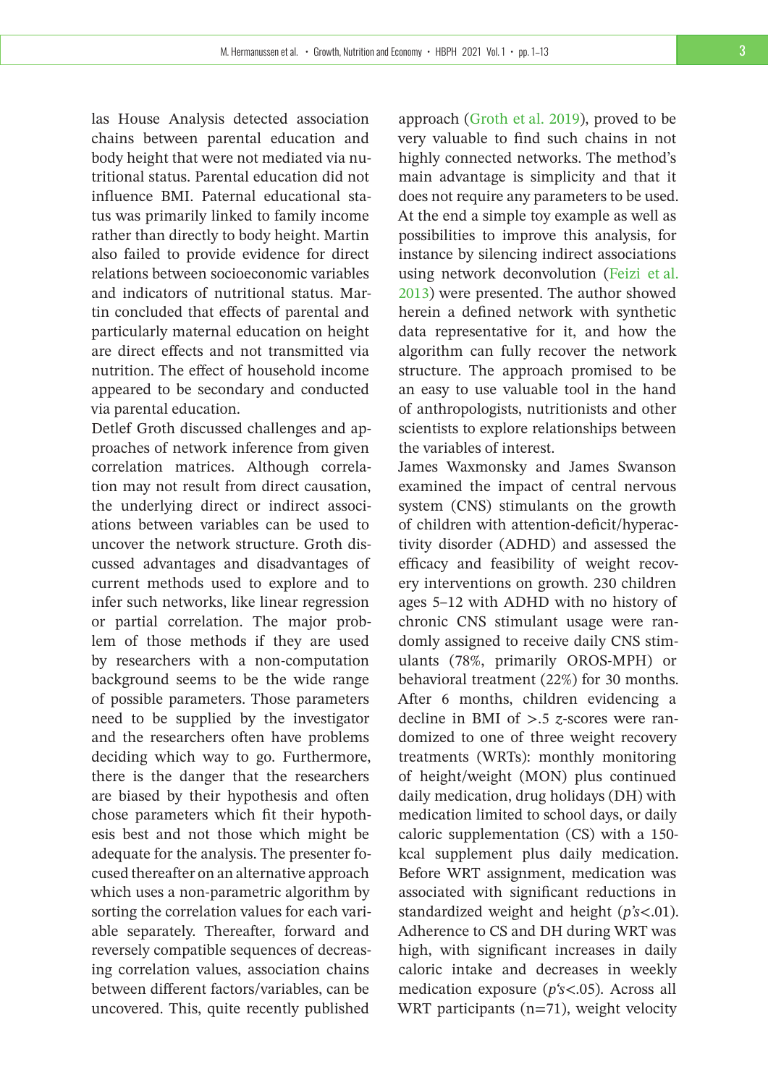las House Analysis detected association chains between parental education and body height that were not mediated via nutritional status. Parental education did not influence BMI. Paternal educational status was primarily linked to family income rather than directly to body height. Martin also failed to provide evidence for direct relations between socioeconomic variables and indicators of nutritional status. Martin concluded that effects of parental and particularly maternal education on height are direct effects and not transmitted via nutrition. The effect of household income appeared to be secondary and conducted via parental education.

Detlef Groth discussed challenges and approaches of network inference from given correlation matrices. Although correlation may not result from direct causation, the underlying direct or indirect associations between variables can be used to uncover the network structure. Groth discussed advantages and disadvantages of current methods used to explore and to infer such networks, like linear regression or partial correlation. The major problem of those methods if they are used by researchers with a non-computation background seems to be the wide range of possible parameters. Those parameters need to be supplied by the investigator and the researchers often have problems deciding which way to go. Furthermore, there is the danger that the researchers are biased by their hypothesis and often chose parameters which fit their hypothesis best and not those which might be adequate for the analysis. The presenter focused thereafter on an alternative approach which uses a non-parametric algorithm by sorting the correlation values for each variable separately. Thereafter, forward and reversely compatible sequences of decreasing correlation values, association chains between different factors/variables, can be uncovered. This, quite recently published

approach [\(Groth et al. 2019\)](#page-12-2), proved to be very valuable to find such chains in not highly connected networks. The method's main advantage is simplicity and that it does not require any parameters to be used. At the end a simple toy example as well as possibilities to improve this analysis, for instance by silencing indirect associations using network deconvolution [\(Feizi et al.](#page-12-4) [2013\)](#page-12-4) were presented. The author showed herein a defined network with synthetic data representative for it, and how the algorithm can fully recover the network structure. The approach promised to be an easy to use valuable tool in the hand of anthropologists, nutritionists and other scientists to explore relationships between the variables of interest.

James Waxmonsky and James Swanson examined the impact of central nervous system (CNS) stimulants on the growth of children with attention-deficit/hyperactivity disorder (ADHD) and assessed the efficacy and feasibility of weight recovery interventions on growth. 230 children ages 5–12 with ADHD with no history of chronic CNS stimulant usage were randomly assigned to receive daily CNS stimulants (78%, primarily OROS-MPH) or behavioral treatment (22%) for 30 months. After 6 months, children evidencing a decline in BMI of >.5 *z*-scores were randomized to one of three weight recovery treatments (WRTs): monthly monitoring of height/weight (MON) plus continued daily medication, drug holidays (DH) with medication limited to school days, or daily caloric supplementation (CS) with a 150 kcal supplement plus daily medication. Before WRT assignment, medication was associated with significant reductions in standardized weight and height (*p's*<.01). Adherence to CS and DH during WRT was high, with significant increases in daily caloric intake and decreases in weekly medication exposure (*p's*<.05). Across all WRT participants  $(n=71)$ , weight velocity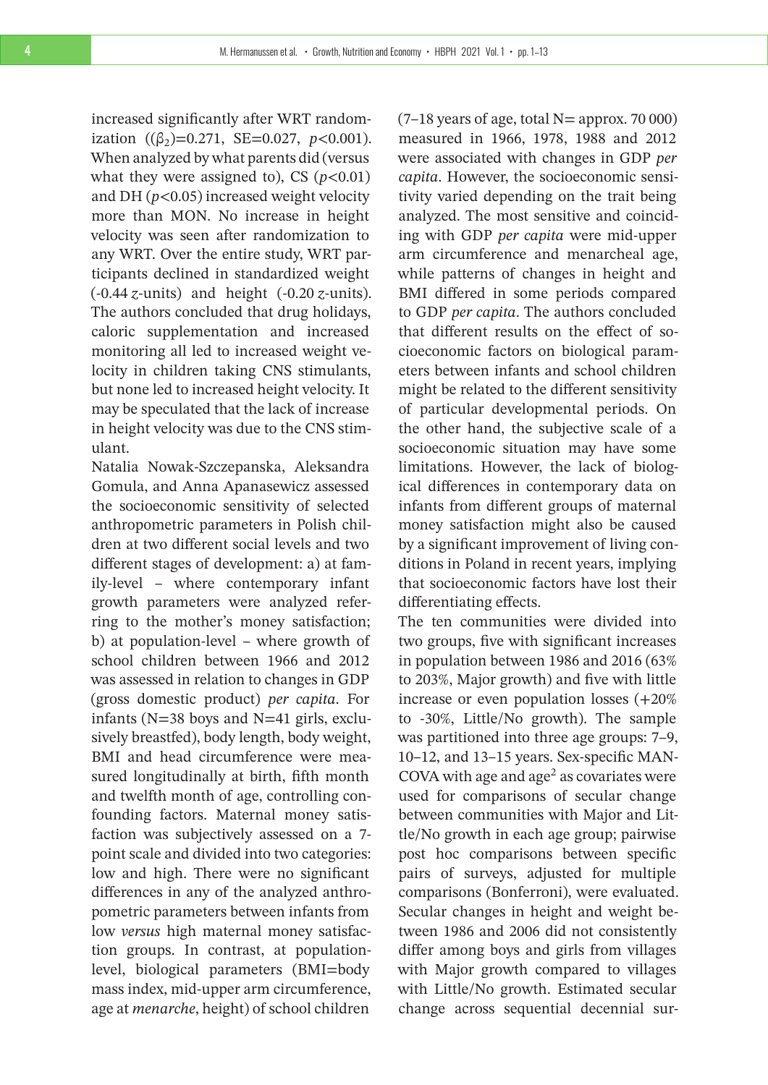increased significantly after WRT randomization ( $(\beta_2)$ =0.271, SE=0.027, *p*<0.001). When analyzed by what parents did (versus what they were assigned to), CS  $(p<0.01)$ and DH (*p*<0.05) increased weight velocity more than MON. No increase in height velocity was seen after randomization to any WRT. Over the entire study, WRT participants declined in standardized weight (-0.44 *z*-units) and height (-0.20 *z*-units). The authors concluded that drug holidays, caloric supplementation and increased monitoring all led to increased weight velocity in children taking CNS stimulants, but none led to increased height velocity. It may be speculated that the lack of increase in height velocity was due to the CNS stimulant.

Natalia Nowak-Szczepanska, Aleksandra Gomula, and Anna Apanasewicz assessed the socioeconomic sensitivity of selected anthropometric parameters in Polish children at two different social levels and two different stages of development: a) at family-level – where contemporary infant growth parameters were analyzed referring to the mother's money satisfaction; b) at population-level – where growth of school children between 1966 and 2012 was assessed in relation to changes in GDP (gross domestic product) *per capita*. For infants (N=38 boys and N=41 girls, exclusively breastfed), body length, body weight, BMI and head circumference were measured longitudinally at birth, fifth month and twelfth month of age, controlling confounding factors. Maternal money satisfaction was subjectively assessed on a 7 point scale and divided into two categories: low and high. There were no significant differences in any of the analyzed anthropometric parameters between infants from low *versus* high maternal money satisfaction groups. In contrast, at populationlevel, biological parameters (BMI=body mass index, mid-upper arm circumference, age at *menarche*, height) of school children

 $(7-18$  years of age, total N= approx. 70 000) measured in 1966, 1978, 1988 and 2012 were associated with changes in GDP *per capita*. However, the socioeconomic sensitivity varied depending on the trait being analyzed. The most sensitive and coinciding with GDP *per capita* were mid-upper arm circumference and menarcheal age, while patterns of changes in height and BMI differed in some periods compared to GDP *per capita*. The authors concluded that different results on the effect of socioeconomic factors on biological parameters between infants and school children might be related to the different sensitivity of particular developmental periods. On the other hand, the subjective scale of a socioeconomic situation may have some limitations. However, the lack of biological differences in contemporary data on infants from different groups of maternal money satisfaction might also be caused by a significant improvement of living conditions in Poland in recent years, implying that socioeconomic factors have lost their differentiating effects.

The ten communities were divided into two groups, five with significant increases in population between 1986 and 2016 (63% to 203%, Major growth) and five with little increase or even population losses (+20% to -30%, Little/No growth). The sample was partitioned into three age groups: 7–9, 10–12, and 13–15 years. Sex-specific MAN-COVA with age and age<sup>2</sup> as covariates were used for comparisons of secular change between communities with Major and Little/No growth in each age group; pairwise post hoc comparisons between specific pairs of surveys, adjusted for multiple comparisons (Bonferroni), were evaluated. Secular changes in height and weight between 1986 and 2006 did not consistently differ among boys and girls from villages with Major growth compared to villages with Little/No growth. Estimated secular change across sequential decennial sur-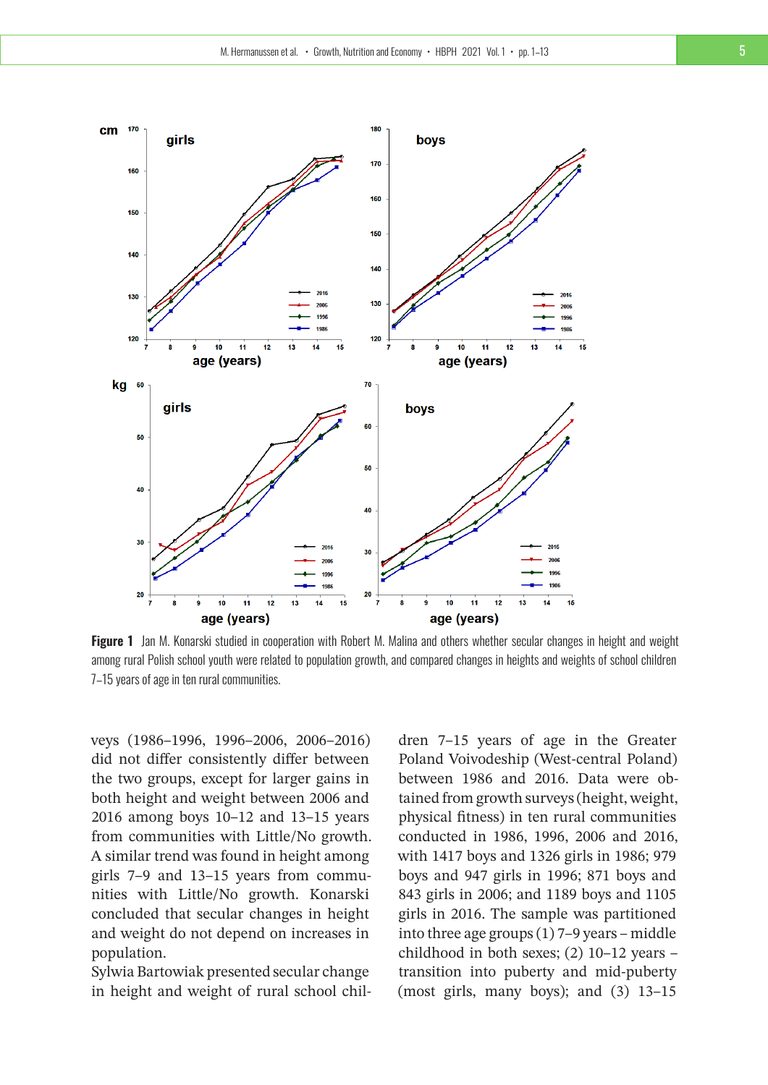

**Figure 1** Jan M. Konarski studied in cooperation with Robert M. Malina and others whether secular changes in height and weight among rural Polish school youth were related to population growth, and compared changes in heights and weights of school children 7–15 years of age in ten rural communities.

veys (1986–1996, 1996–2006, 2006–2016) did not differ consistently differ between the two groups, except for larger gains in both height and weight between 2006 and 2016 among boys 10–12 and 13–15 years from communities with Little/No growth. A similar trend was found in height among girls 7–9 and 13–15 years from communities with Little/No growth. Konarski concluded that secular changes in height and weight do not depend on increases in population.

Sylwia Bartowiak presented secular change in height and weight of rural school chil-

dren 7–15 years of age in the Greater Poland Voivodeship (West-central Poland) between 1986 and 2016. Data were obtained from growth surveys (height, weight, physical fitness) in ten rural communities conducted in 1986, 1996, 2006 and 2016, with 1417 boys and 1326 girls in 1986; 979 boys and 947 girls in 1996; 871 boys and 843 girls in 2006; and 1189 boys and 1105 girls in 2016. The sample was partitioned into three age groups (1) 7–9 years – middle childhood in both sexes; (2) 10–12 years – transition into puberty and mid-puberty (most girls, many boys); and (3) 13–15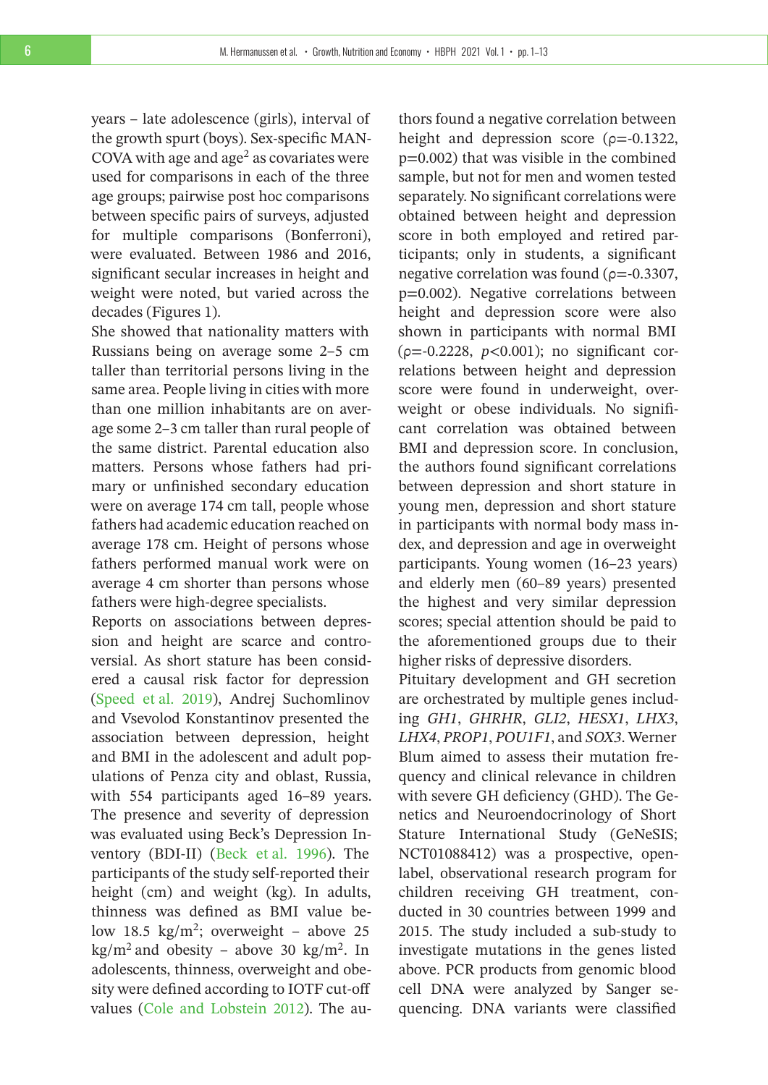years – late adolescence (girls), interval of the growth spurt (boys). Sex-specific MAN-COVA with age and  $age<sup>2</sup>$  as covariates were used for comparisons in each of the three age groups; pairwise post hoc comparisons between specific pairs of surveys, adjusted for multiple comparisons (Bonferroni), were evaluated. Between 1986 and 2016, significant secular increases in height and weight were noted, but varied across the decades (Figures 1).

She showed that nationality matters with Russians being on average some 2–5 cm taller than territorial persons living in the same area. People living in cities with more than one million inhabitants are on average some 2–3 cm taller than rural people of the same district. Parental education also matters. Persons whose fathers had primary or unfinished secondary education were on average 174 cm tall, people whose fathers had academic education reached on average 178 cm. Height of persons whose fathers performed manual work were on average 4 cm shorter than persons whose fathers were high-degree specialists.

Reports on associations between depression and height are scarce and controversial. As short stature has been considered a causal risk factor for depression [\(Speed et al. 2019\)](#page-12-5), Andrej Suchomlinov and Vsevolod Konstantinov presented the association between depression, height and BMI in the adolescent and adult populations of Penza city and oblast, Russia, with 554 participants aged 16–89 years. The presence and severity of depression was evaluated using Beck's Depression Inventory (BDI-II) [\(Beck et al. 1996\)](#page-12-6). The participants of the study self-reported their height (cm) and weight (kg). In adults, thinness was defined as BMI value below 18.5  $\text{kg/m}^2$ ; overweight – above 25  $\text{kg/m}^2$  and obesity – above 30 kg/m<sup>2</sup>. In adolescents, thinness, overweight and obesity were defined according to IOTF cut-off values [\(Cole and Lobstein 2012\)](#page-12-7). The au-

thors found a negative correlation between height and depression score ( $\rho$ =-0.1322, p=0.002) that was visible in the combined sample, but not for men and women tested separately. No significant correlations were obtained between height and depression score in both employed and retired participants; only in students, a significant negative correlation was found ( $\rho$ =-0.3307, p=0.002). Negative correlations between height and depression score were also shown in participants with normal BMI (ρ=-0.2228, *p*<0.001); no significant correlations between height and depression score were found in underweight, overweight or obese individuals. No significant correlation was obtained between BMI and depression score. In conclusion, the authors found significant correlations between depression and short stature in young men, depression and short stature in participants with normal body mass index, and depression and age in overweight participants. Young women (16–23 years) and elderly men (60–89 years) presented the highest and very similar depression scores; special attention should be paid to the aforementioned groups due to their higher risks of depressive disorders.

Pituitary development and GH secretion are orchestrated by multiple genes including *GH1*, *GHRHR*, *GLI2*, *HESX1*, *LHX3*, *LHX4*, *PROP1*, *POU1F1*, and *SOX3*. Werner Blum aimed to assess their mutation frequency and clinical relevance in children with severe GH deficiency (GHD). The Genetics and Neuroendocrinology of Short Stature International Study (GeNeSIS; NCT01088412) was a prospective, openlabel, observational research program for children receiving GH treatment, conducted in 30 countries between 1999 and 2015. The study included a sub-study to investigate mutations in the genes listed above. PCR products from genomic blood cell DNA were analyzed by Sanger sequencing. DNA variants were classified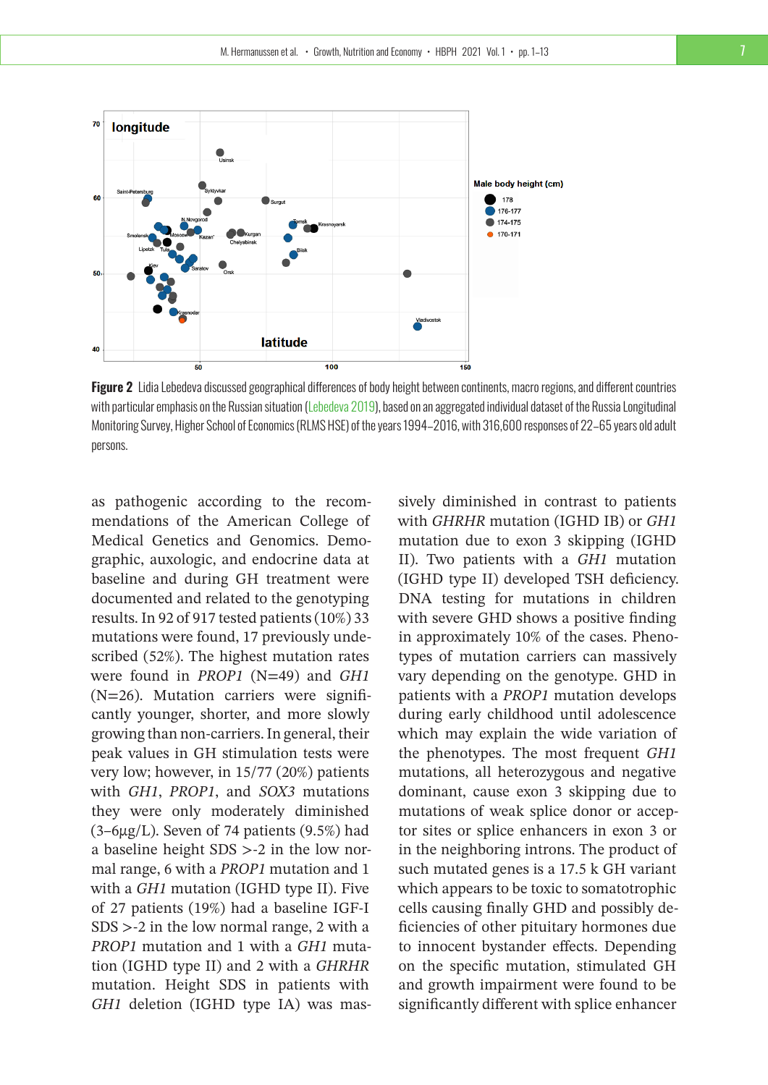

**Figure 2** Lidia Lebedeva discussed geographical differences of body height between continents, macro regions, and different countries with particular emphasis on the Russian situation [\(Lebedeva 2019\)](#page-12-8), based on an aggregated individual dataset of the Russia Longitudinal Monitoring Survey, Higher School of Economics (RLMS HSE) of the years 1994–2016, with 316,600 responses of 22–65 years old adult persons.

as pathogenic according to the recommendations of the American College of Medical Genetics and Genomics. Demographic, auxologic, and endocrine data at baseline and during GH treatment were documented and related to the genotyping results. In 92 of 917 tested patients (10%) 33 mutations were found, 17 previously undescribed (52%). The highest mutation rates were found in *PROP1* (N=49) and *GH1* (N=26). Mutation carriers were significantly younger, shorter, and more slowly growing than non-carriers. In general, their peak values in GH stimulation tests were very low; however, in 15/77 (20%) patients with *GH1*, *PROP1*, and *SOX3* mutations they were only moderately diminished  $(3-6\mu g/L)$ . Seven of 74 patients  $(9.5\%)$  had a baseline height SDS >-2 in the low normal range, 6 with a *PROP1* mutation and 1 with a *GH1* mutation (IGHD type II). Five of 27 patients (19%) had a baseline IGF-I SDS >-2 in the low normal range, 2 with a *PROP1* mutation and 1 with a *GH1* mutation (IGHD type II) and 2 with a *GHRHR* mutation. Height SDS in patients with *GH1* deletion (IGHD type IA) was massively diminished in contrast to patients with *GHRHR* mutation (IGHD IB) or *GH1* mutation due to exon 3 skipping (IGHD II). Two patients with a *GH1* mutation (IGHD type II) developed TSH deficiency. DNA testing for mutations in children with severe GHD shows a positive finding in approximately 10% of the cases. Phenotypes of mutation carriers can massively vary depending on the genotype. GHD in patients with a *PROP1* mutation develops during early childhood until adolescence which may explain the wide variation of the phenotypes. The most frequent *GH1* mutations, all heterozygous and negative dominant, cause exon 3 skipping due to mutations of weak splice donor or acceptor sites or splice enhancers in exon 3 or in the neighboring introns. The product of such mutated genes is a 17.5 k GH variant which appears to be toxic to somatotrophic cells causing finally GHD and possibly deficiencies of other pituitary hormones due to innocent bystander effects. Depending on the specific mutation, stimulated GH and growth impairment were found to be significantly different with splice enhancer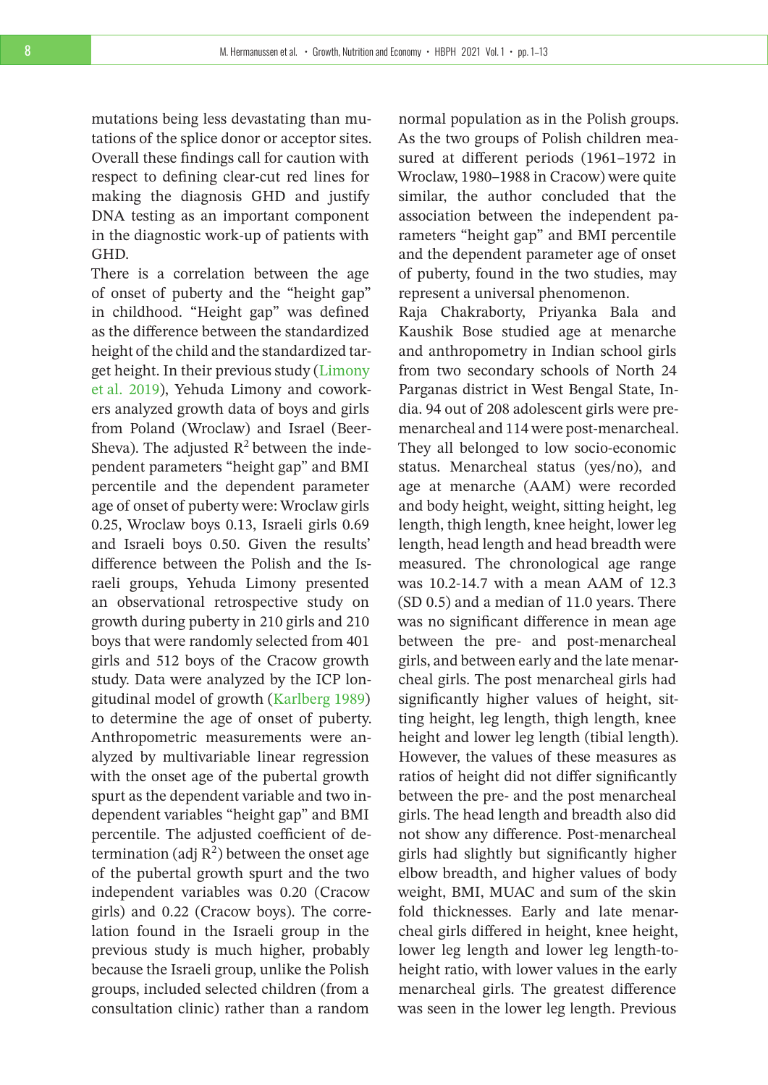mutations being less devastating than mutations of the splice donor or acceptor sites. Overall these findings call for caution with respect to defining clear-cut red lines for making the diagnosis GHD and justify DNA testing as an important component in the diagnostic work-up of patients with GHD.

There is a correlation between the age of onset of puberty and the "height gap" in childhood. "Height gap" was defined as the difference between the standardized height of the child and the standardized target height. In their previous study [\(Limony](#page-12-9) [et al. 2019\)](#page-12-9), Yehuda Limony and coworkers analyzed growth data of boys and girls from Poland (Wroclaw) and Israel (Beer-Sheva). The adjusted  $R^2$  between the independent parameters "height gap" and BMI percentile and the dependent parameter age of onset of puberty were: Wroclaw girls 0.25, Wroclaw boys 0.13, Israeli girls 0.69 and Israeli boys 0.50. Given the results' difference between the Polish and the Israeli groups, Yehuda Limony presented an observational retrospective study on growth during puberty in 210 girls and 210 boys that were randomly selected from 401 girls and 512 boys of the Cracow growth study. Data were analyzed by the ICP longitudinal model of growth [\(Karlberg 1989\)](#page-12-10) to determine the age of onset of puberty. Anthropometric measurements were analyzed by multivariable linear regression with the onset age of the pubertal growth spurt as the dependent variable and two independent variables "height gap" and BMI percentile. The adjusted coefficient of determination (adj  $R^2$ ) between the onset age of the pubertal growth spurt and the two independent variables was 0.20 (Cracow girls) and 0.22 (Cracow boys). The correlation found in the Israeli group in the previous study is much higher, probably because the Israeli group, unlike the Polish groups, included selected children (from a consultation clinic) rather than a random

normal population as in the Polish groups. As the two groups of Polish children measured at different periods (1961–1972 in Wroclaw, 1980–1988 in Cracow) were quite similar, the author concluded that the association between the independent parameters "height gap" and BMI percentile and the dependent parameter age of onset of puberty, found in the two studies, may represent a universal phenomenon.

Raja Chakraborty, Priyanka Bala and Kaushik Bose studied age at menarche and anthropometry in Indian school girls from two secondary schools of North 24 Parganas district in West Bengal State, India. 94 out of 208 adolescent girls were premenarcheal and 114 were post-menarcheal. They all belonged to low socio-economic status. Menarcheal status (yes/no), and age at menarche (AAM) were recorded and body height, weight, sitting height, leg length, thigh length, knee height, lower leg length, head length and head breadth were measured. The chronological age range was 10.2-14.7 with a mean AAM of 12.3 (SD 0.5) and a median of 11.0 years. There was no significant difference in mean age between the pre- and post-menarcheal girls, and between early and the late menarcheal girls. The post menarcheal girls had significantly higher values of height, sitting height, leg length, thigh length, knee height and lower leg length (tibial length). However, the values of these measures as ratios of height did not differ significantly between the pre- and the post menarcheal girls. The head length and breadth also did not show any difference. Post-menarcheal girls had slightly but significantly higher elbow breadth, and higher values of body weight, BMI, MUAC and sum of the skin fold thicknesses. Early and late menarcheal girls differed in height, knee height, lower leg length and lower leg length-toheight ratio, with lower values in the early menarcheal girls. The greatest difference was seen in the lower leg length. Previous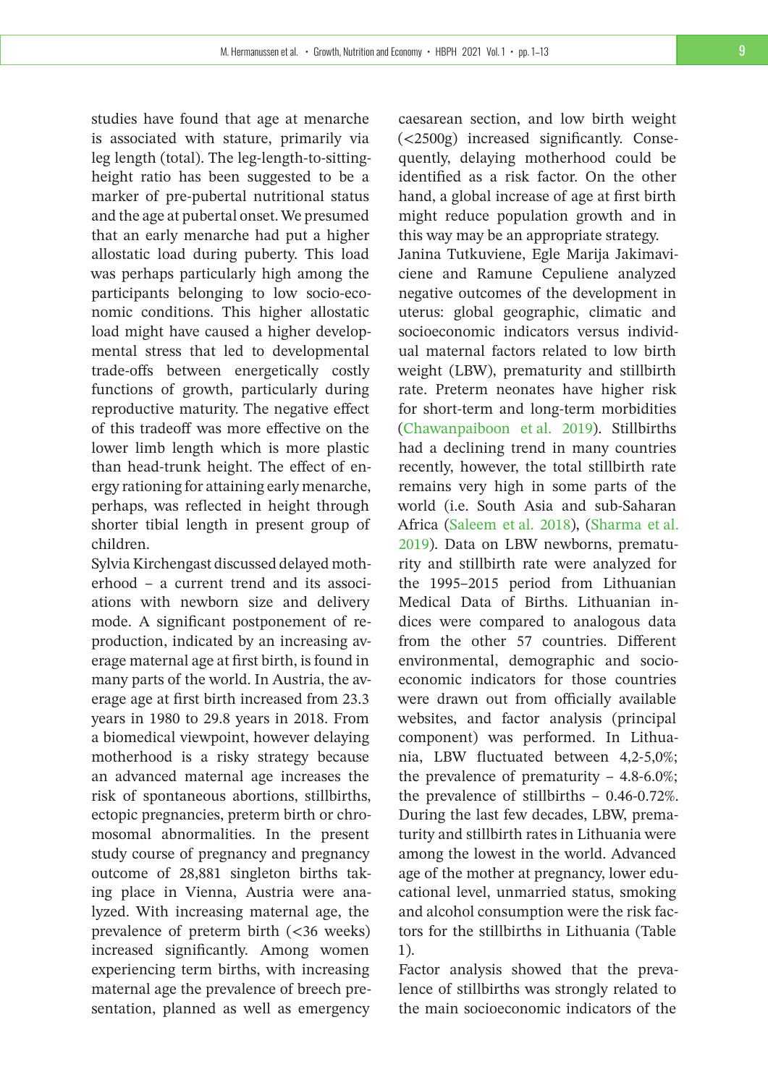studies have found that age at menarche is associated with stature, primarily via leg length (total). The leg-length-to-sittingheight ratio has been suggested to be a marker of pre-pubertal nutritional status and the age at pubertal onset.We presumed that an early menarche had put a higher allostatic load during puberty. This load was perhaps particularly high among the participants belonging to low socio-economic conditions. This higher allostatic load might have caused a higher developmental stress that led to developmental trade-offs between energetically costly functions of growth, particularly during reproductive maturity. The negative effect of this tradeoff was more effective on the lower limb length which is more plastic than head-trunk height. The effect of energy rationing for attaining early menarche, perhaps, was reflected in height through shorter tibial length in present group of children.

Sylvia Kirchengast discussed delayed motherhood – a current trend and its associations with newborn size and delivery mode. A significant postponement of reproduction, indicated by an increasing average maternal age at first birth, is found in many parts of the world. In Austria, the average age at first birth increased from 23.3 years in 1980 to 29.8 years in 2018. From a biomedical viewpoint, however delaying motherhood is a risky strategy because an advanced maternal age increases the risk of spontaneous abortions, stillbirths, ectopic pregnancies, preterm birth or chromosomal abnormalities. In the present study course of pregnancy and pregnancy outcome of 28,881 singleton births taking place in Vienna, Austria were analyzed. With increasing maternal age, the prevalence of preterm birth (<36 weeks) increased significantly. Among women experiencing term births, with increasing maternal age the prevalence of breech presentation, planned as well as emergency

caesarean section, and low birth weight (<2500g) increased significantly. Consequently, delaying motherhood could be identified as a risk factor. On the other hand, a global increase of age at first birth might reduce population growth and in this way may be an appropriate strategy.

Janina Tutkuviene, Egle Marija Jakimaviciene and Ramune Cepuliene analyzed negative outcomes of the development in uterus: global geographic, climatic and socioeconomic indicators versus individual maternal factors related to low birth weight (LBW), prematurity and stillbirth rate. Preterm neonates have higher risk for short-term and long-term morbidities [\(Chawanpaiboon et al. 2019\)](#page-12-11). Stillbirths had a declining trend in many countries recently, however, the total stillbirth rate remains very high in some parts of the world (i.e. South Asia and sub-Saharan Africa [\(Saleem et al. 2018\)](#page-12-12), [\(Sharma et al.](#page-12-13) [2019\)](#page-12-13). Data on LBW newborns, prematurity and stillbirth rate were analyzed for the 1995–2015 period from Lithuanian Medical Data of Births. Lithuanian indices were compared to analogous data from the other 57 countries. Different environmental, demographic and socioeconomic indicators for those countries were drawn out from officially available websites, and factor analysis (principal component) was performed. In Lithuania, LBW fluctuated between 4,2-5,0%; the prevalence of prematurity  $-4.8-6.0\%$ ; the prevalence of stillbirths – 0.46-0.72%. During the last few decades, LBW, prematurity and stillbirth rates in Lithuania were among the lowest in the world. Advanced age of the mother at pregnancy, lower educational level, unmarried status, smoking and alcohol consumption were the risk factors for the stillbirths in Lithuania (Table 1).

Factor analysis showed that the prevalence of stillbirths was strongly related to the main socioeconomic indicators of the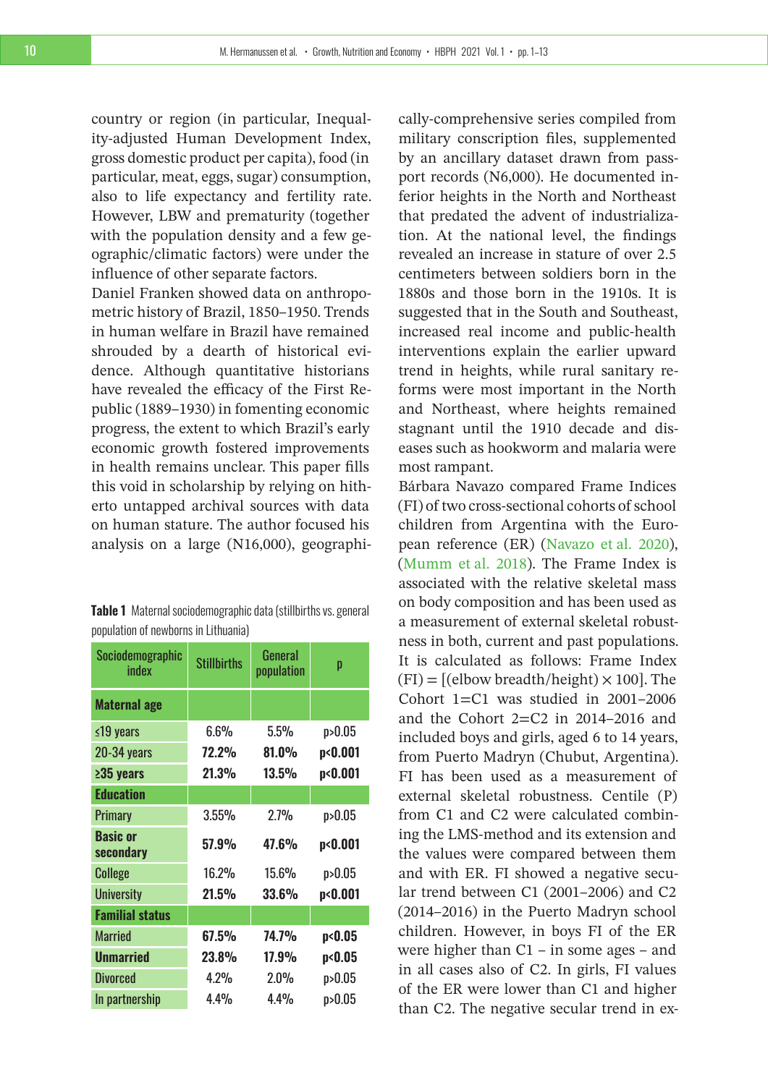country or region (in particular, Inequality-adjusted Human Development Index, gross domestic product per capita), food (in particular, meat, eggs, sugar) consumption, also to life expectancy and fertility rate. However, LBW and prematurity (together with the population density and a few geographic/climatic factors) were under the influence of other separate factors.

Daniel Franken showed data on anthropometric history of Brazil, 1850–1950. Trends in human welfare in Brazil have remained shrouded by a dearth of historical evidence. Although quantitative historians have revealed the efficacy of the First Republic (1889–1930) in fomenting economic progress, the extent to which Brazil's early economic growth fostered improvements in health remains unclear. This paper fills this void in scholarship by relying on hitherto untapped archival sources with data on human stature. The author focused his analysis on a large (N16,000), geographi-

| Table 1 Maternal sociodemographic data (stillbirths vs. general |
|-----------------------------------------------------------------|
| population of newborns in Lithuania)                            |

| Sociodemographic<br>index    | <b>Stillbirths</b> | General<br>population | p                  |
|------------------------------|--------------------|-----------------------|--------------------|
| <b>Maternal age</b>          |                    |                       |                    |
| ≤19 years                    | 6.6%               | 5.5%                  | p > 0.05           |
| 20-34 years                  | <b>72.2%</b>       | $81.0\%$              | p<0.001            |
| $235$ years                  | 21.3%              | 13.5%                 | p <sub>0.001</sub> |
| <b>Education</b>             |                    |                       |                    |
| <b>Primary</b>               | 3.55%              | 2.7%                  | p > 0.05           |
| <b>Basic or</b><br>secondary | 57.9%              | 47.6%                 | p<0.001            |
| <b>College</b>               | 16.2%              | 15.6%                 | p > 0.05           |
| <b>University</b>            | 21.5%              | 33.6%                 | p<0.001            |
| <b>Familial status</b>       |                    |                       |                    |
| <b>Married</b>               | $67.5\%$           | <b>74.7%</b>          | p<0.05             |
| <b>Unmarried</b>             | 23.8%              | $17.9\%$              | p<0.05             |
| <b>Divorced</b>              | 4.2%               | 2.0%                  | p > 0.05           |
| In partnership               | 4.4%               | 4.4%                  | p > 0.05           |

cally-comprehensive series compiled from military conscription files, supplemented by an ancillary dataset drawn from passport records (N6,000). He documented inferior heights in the North and Northeast that predated the advent of industrialization. At the national level, the findings revealed an increase in stature of over 2.5 centimeters between soldiers born in the 1880s and those born in the 1910s. It is suggested that in the South and Southeast, increased real income and public-health interventions explain the earlier upward trend in heights, while rural sanitary reforms were most important in the North and Northeast, where heights remained stagnant until the 1910 decade and diseases such as hookworm and malaria were most rampant.

Bárbara Navazo compared Frame Indices (FI) of two cross-sectional cohorts of school children from Argentina with the European reference (ER) [\(Navazo et al. 2020\)](#page-12-14), [\(Mumm et al. 2018\)](#page-12-15). The Frame Index is associated with the relative skeletal mass on body composition and has been used as a measurement of external skeletal robustness in both, current and past populations. It is calculated as follows: Frame Index  $(FI) = [(elbow breadth/height) \times 100]$ . The Cohort 1=C1 was studied in 2001–2006 and the Cohort  $2=C2$  in 2014–2016 and included boys and girls, aged 6 to 14 years, from Puerto Madryn (Chubut, Argentina). FI has been used as a measurement of external skeletal robustness. Centile (P) from C1 and C2 were calculated combining the LMS-method and its extension and the values were compared between them and with ER. FI showed a negative secular trend between C1 (2001–2006) and C2 (2014–2016) in the Puerto Madryn school children. However, in boys FI of the ER were higher than C1 – in some ages – and in all cases also of C2. In girls, FI values of the ER were lower than C1 and higher than C2. The negative secular trend in ex-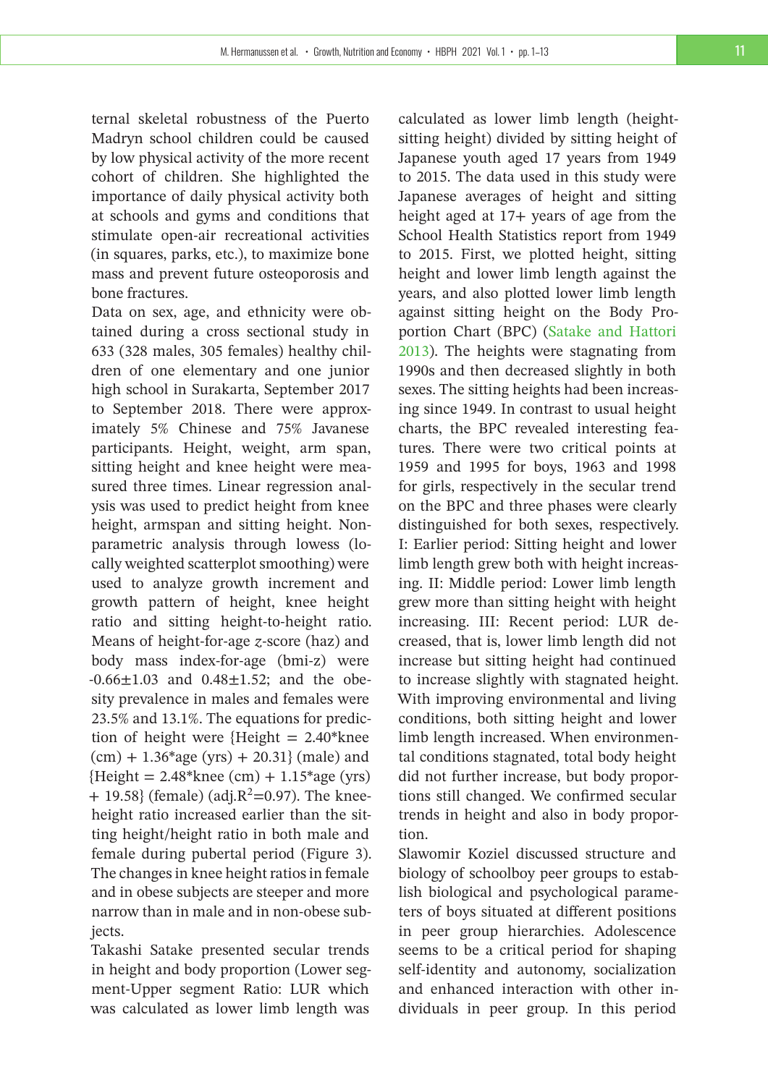ternal skeletal robustness of the Puerto Madryn school children could be caused by low physical activity of the more recent cohort of children. She highlighted the importance of daily physical activity both at schools and gyms and conditions that stimulate open-air recreational activities (in squares, parks, etc.), to maximize bone mass and prevent future osteoporosis and bone fractures.

Data on sex, age, and ethnicity were obtained during a cross sectional study in 633 (328 males, 305 females) healthy children of one elementary and one junior high school in Surakarta, September 2017 to September 2018. There were approximately 5% Chinese and 75% Javanese participants. Height, weight, arm span, sitting height and knee height were measured three times. Linear regression analysis was used to predict height from knee height, armspan and sitting height. Nonparametric analysis through lowess (locally weighted scatterplot smoothing) were used to analyze growth increment and growth pattern of height, knee height ratio and sitting height-to-height ratio. Means of height-for-age *z*-score (haz) and body mass index-for-age (bmi-z) were  $-0.66 \pm 1.03$  and  $0.48 \pm 1.52$ ; and the obesity prevalence in males and females were 23.5% and 13.1%. The equations for prediction of height were {Height  $= 2.40*$ knee  $(cm) + 1.36*age (yrs) + 20.31$ } (male) and  ${Height = 2.48*knee (cm) + 1.15*age (yrs)}$  $+$  19.58} (female) (adj. $R^2$ =0.97). The kneeheight ratio increased earlier than the sitting height/height ratio in both male and female during pubertal period (Figure 3). The changes in knee height ratios in female and in obese subjects are steeper and more narrow than in male and in non-obese subjects.

Takashi Satake presented secular trends in height and body proportion (Lower segment-Upper segment Ratio: LUR which was calculated as lower limb length was

calculated as lower limb length (heightsitting height) divided by sitting height of Japanese youth aged 17 years from 1949 to 2015. The data used in this study were Japanese averages of height and sitting height aged at 17+ years of age from the School Health Statistics report from 1949 to 2015. First, we plotted height, sitting height and lower limb length against the years, and also plotted lower limb length against sitting height on the Body Proportion Chart (BPC) [\(Satake and Hattori](#page-12-16) [2013\)](#page-12-16). The heights were stagnating from 1990s and then decreased slightly in both sexes. The sitting heights had been increasing since 1949. In contrast to usual height charts, the BPC revealed interesting features. There were two critical points at 1959 and 1995 for boys, 1963 and 1998 for girls, respectively in the secular trend on the BPC and three phases were clearly distinguished for both sexes, respectively. I: Earlier period: Sitting height and lower limb length grew both with height increasing. II: Middle period: Lower limb length grew more than sitting height with height increasing. III: Recent period: LUR decreased, that is, lower limb length did not increase but sitting height had continued to increase slightly with stagnated height. With improving environmental and living conditions, both sitting height and lower limb length increased. When environmental conditions stagnated, total body height did not further increase, but body proportions still changed. We confirmed secular trends in height and also in body proportion.

Slawomir Koziel discussed structure and biology of schoolboy peer groups to establish biological and psychological parameters of boys situated at different positions in peer group hierarchies. Adolescence seems to be a critical period for shaping self-identity and autonomy, socialization and enhanced interaction with other individuals in peer group. In this period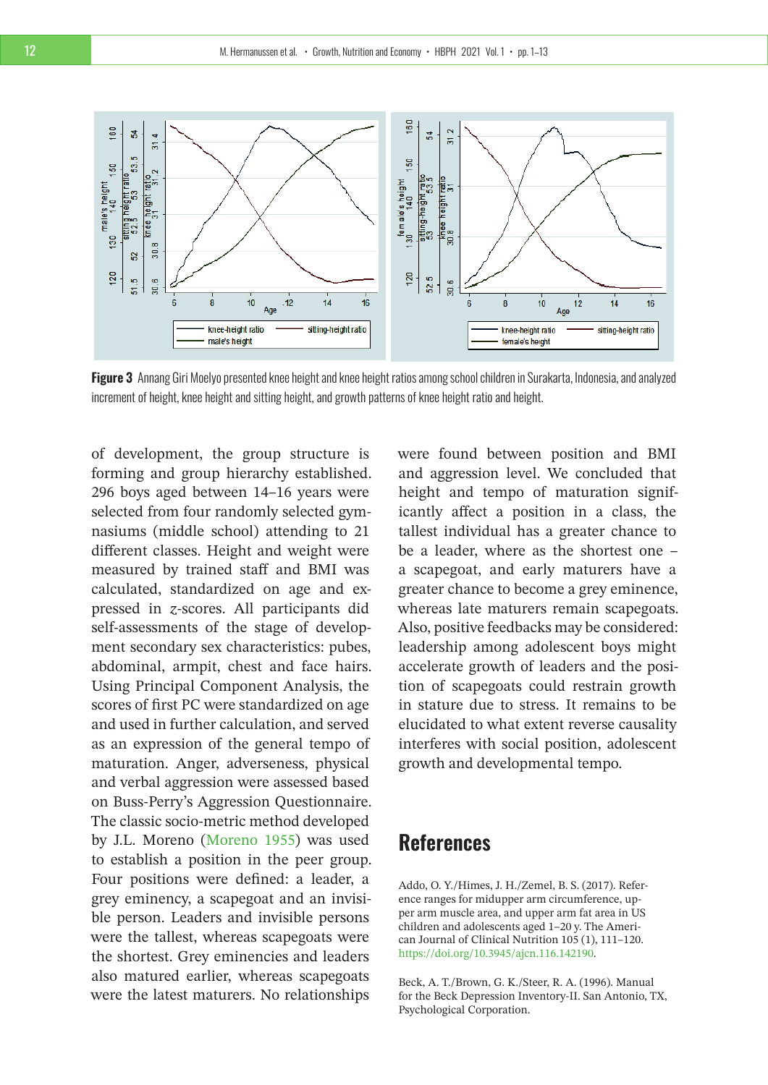

**Figure 3** Annang Giri Moelyo presented knee height and knee height ratios among school children in Surakarta, Indonesia, and analyzed increment of height, knee height and sitting height, and growth patterns of knee height ratio and height.

of development, the group structure is forming and group hierarchy established. 296 boys aged between 14–16 years were selected from four randomly selected gymnasiums (middle school) attending to 21 different classes. Height and weight were measured by trained staff and BMI was calculated, standardized on age and expressed in *z*-scores. All participants did self-assessments of the stage of development secondary sex characteristics: pubes, abdominal, armpit, chest and face hairs. Using Principal Component Analysis, the scores of first PC were standardized on age and used in further calculation, and served as an expression of the general tempo of maturation. Anger, adverseness, physical and verbal aggression were assessed based on Buss-Perry's Aggression Questionnaire. The classic socio-metric method developed by J.L. Moreno [\(Moreno 1955\)](#page-12-17) was used to establish a position in the peer group. Four positions were defined: a leader, a grey eminency, a scapegoat and an invisible person. Leaders and invisible persons were the tallest, whereas scapegoats were the shortest. Grey eminencies and leaders also matured earlier, whereas scapegoats were the latest maturers. No relationships

were found between position and BMI and aggression level. We concluded that height and tempo of maturation significantly affect a position in a class, the tallest individual has a greater chance to be a leader, where as the shortest one – a scapegoat, and early maturers have a greater chance to become a grey eminence, whereas late maturers remain scapegoats. Also, positive feedbacks may be considered: leadership among adolescent boys might accelerate growth of leaders and the position of scapegoats could restrain growth in stature due to stress. It remains to be elucidated to what extent reverse causality interferes with social position, adolescent growth and developmental tempo.

## **References**

<span id="page-11-0"></span>Addo, O. Y./Himes, J. H./Zemel, B. S. (2017). Reference ranges for midupper arm circumference, upper arm muscle area, and upper arm fat area in US children and adolescents aged 1–20 y. The American Journal of Clinical Nutrition 105 (1), 111–120. [https://doi.org/10.3945/ajcn.116.142190.](https://doi.org/10.3945/ajcn.116.142190)

<span id="page-11-1"></span>Beck, A. T./Brown, G. K./Steer, R. A. (1996). Manual for the Beck Depression Inventory-II. San Antonio, TX, Psychological Corporation.